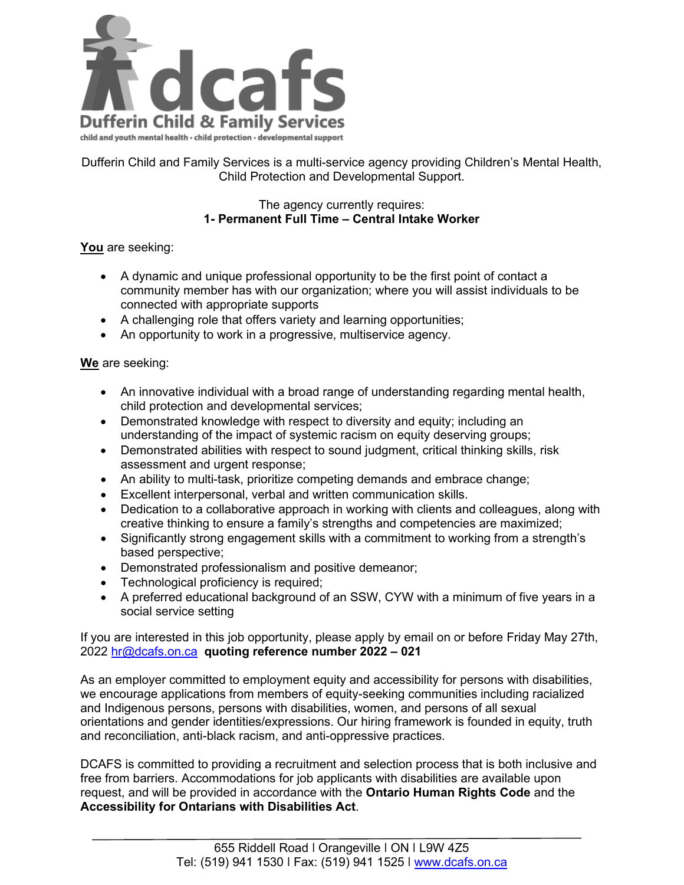

Dufferin Child and Family Services is a multi-service agency providing Children's Mental Health, Child Protection and Developmental Support.

## The agency currently requires: **1- Permanent Full Time – Central Intake Worker**

## **You** are seeking:

- A dynamic and unique professional opportunity to be the first point of contact a community member has with our organization; where you will assist individuals to be connected with appropriate supports
- A challenging role that offers variety and learning opportunities;
- An opportunity to work in a progressive, multiservice agency.

## **We** are seeking:

- An innovative individual with a broad range of understanding regarding mental health, child protection and developmental services;
- Demonstrated knowledge with respect to diversity and equity; including an understanding of the impact of systemic racism on equity deserving groups;
- Demonstrated abilities with respect to sound judgment, critical thinking skills, risk assessment and urgent response;
- An ability to multi-task, prioritize competing demands and embrace change;
- Excellent interpersonal, verbal and written communication skills.
- Dedication to a collaborative approach in working with clients and colleagues, along with creative thinking to ensure a family's strengths and competencies are maximized;
- Significantly strong engagement skills with a commitment to working from a strength's based perspective;
- Demonstrated professionalism and positive demeanor;
- Technological proficiency is required;
- A preferred educational background of an SSW, CYW with a minimum of five years in a social service setting

If you are interested in this job opportunity, please apply by email on or before Friday May 27th, 2022 [hr@dcafs.on.ca](mailto:hr@dcafs.on.ca) **quoting reference number 2022 – 021**

As an employer committed to employment equity and accessibility for persons with disabilities, we encourage applications from members of equity-seeking communities including racialized and Indigenous persons, persons with disabilities, women, and persons of all sexual orientations and gender identities/expressions. Our hiring framework is founded in equity, truth and reconciliation, anti-black racism, and anti-oppressive practices.

DCAFS is committed to providing a recruitment and selection process that is both inclusive and free from barriers. Accommodations for job applicants with disabilities are available upon request, and will be provided in accordance with the **Ontario Human Rights Code** and the **[Accessibility for Ontarians with Disabilities Act](https://www.ontario.ca/laws/statute/05a11)**.